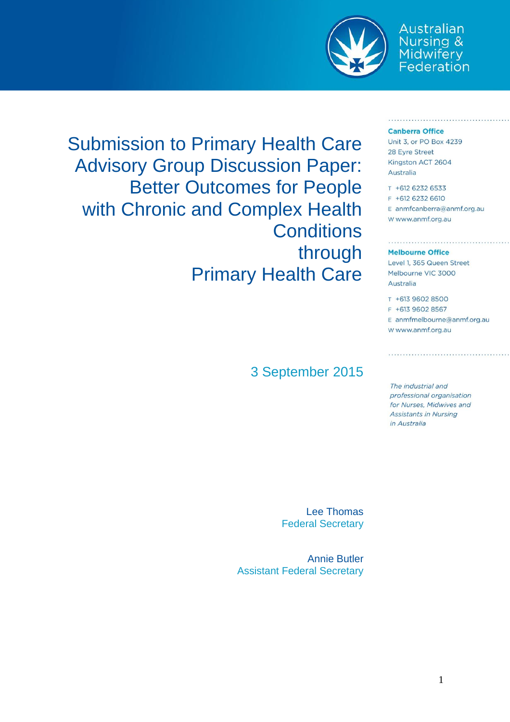

Australian **Nursing &** Midwifery<br>Federation

#### **Canberra Office**

Unit 3, or PO Box 4239 28 Eyre Street Kingston ACT 2604 Australia

T +612 6232 6533 F +612 6232 6610 E anmfcanberra@anmf.org.au w www.anmf.org.au

#### **Melbourne Office**

Level 1, 365 Queen Street Melbourne VIC 3000 Australia

T +613 9602 8500 F +613 9602 8567 E anmfmelbourne@anmf.org.au w www.anmf.org.au

The industrial and professional organisation for Nurses, Midwives and **Assistants in Nursing** in Australia

Submission to Primary Health Care Advisory Group Discussion Paper: Better Outcomes for People with Chronic and Complex Health **Conditions** through Primary Health Care

### 3 September 2015

Lee Thomas Federal Secretary

Annie Butler Assistant Federal Secretary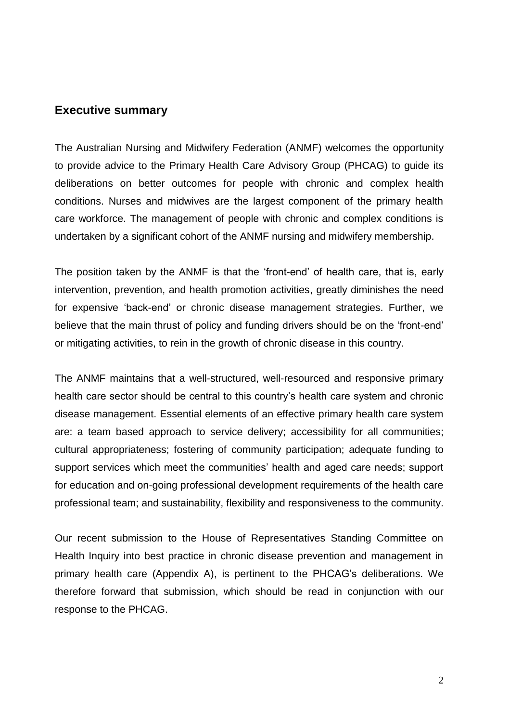### **Executive summary**

The Australian Nursing and Midwifery Federation (ANMF) welcomes the opportunity to provide advice to the Primary Health Care Advisory Group (PHCAG) to guide its deliberations on better outcomes for people with chronic and complex health conditions. Nurses and midwives are the largest component of the primary health care workforce. The management of people with chronic and complex conditions is undertaken by a significant cohort of the ANMF nursing and midwifery membership.

The position taken by the ANMF is that the 'front-end' of health care, that is, early intervention, prevention, and health promotion activities, greatly diminishes the need for expensive 'back-end' or chronic disease management strategies. Further, we believe that the main thrust of policy and funding drivers should be on the 'front-end' or mitigating activities, to rein in the growth of chronic disease in this country.

The ANMF maintains that a well-structured, well-resourced and responsive primary health care sector should be central to this country's health care system and chronic disease management. Essential elements of an effective primary health care system are: a team based approach to service delivery; accessibility for all communities; cultural appropriateness; fostering of community participation; adequate funding to support services which meet the communities' health and aged care needs; support for education and on-going professional development requirements of the health care professional team; and sustainability, flexibility and responsiveness to the community.

Our recent submission to the House of Representatives Standing Committee on Health Inquiry into best practice in chronic disease prevention and management in primary health care (Appendix A), is pertinent to the PHCAG's deliberations. We therefore forward that submission, which should be read in conjunction with our response to the PHCAG.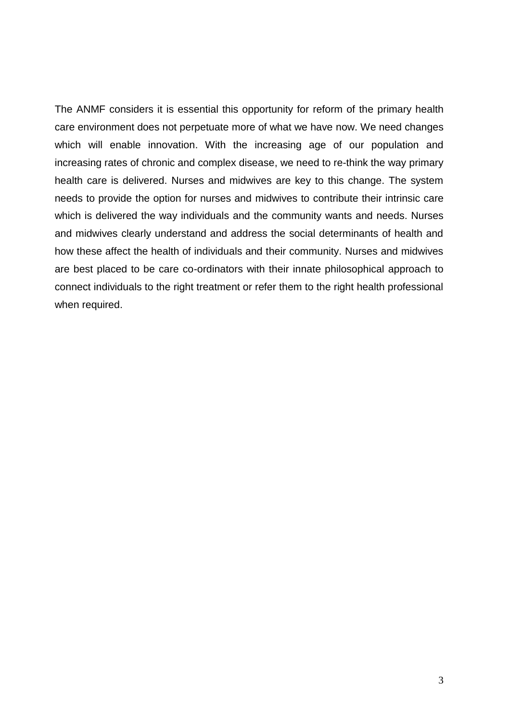The ANMF considers it is essential this opportunity for reform of the primary health care environment does not perpetuate more of what we have now. We need changes which will enable innovation. With the increasing age of our population and increasing rates of chronic and complex disease, we need to re-think the way primary health care is delivered. Nurses and midwives are key to this change. The system needs to provide the option for nurses and midwives to contribute their intrinsic care which is delivered the way individuals and the community wants and needs. Nurses and midwives clearly understand and address the social determinants of health and how these affect the health of individuals and their community. Nurses and midwives are best placed to be care co-ordinators with their innate philosophical approach to connect individuals to the right treatment or refer them to the right health professional when required.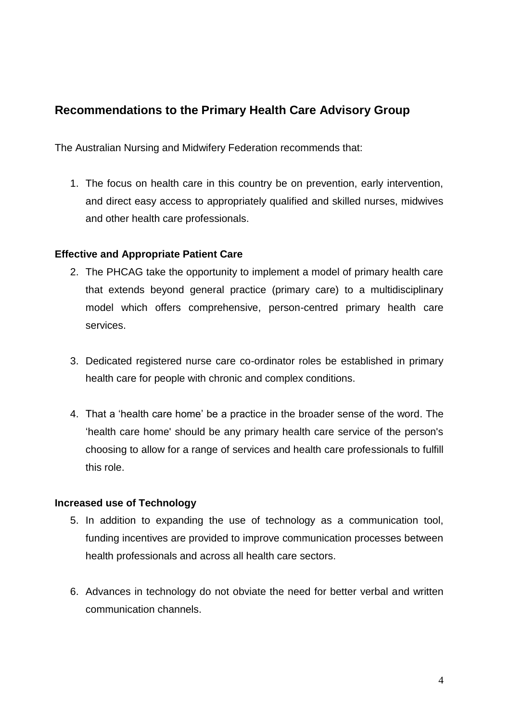# **Recommendations to the Primary Health Care Advisory Group**

The Australian Nursing and Midwifery Federation recommends that:

1. The focus on health care in this country be on prevention, early intervention, and direct easy access to appropriately qualified and skilled nurses, midwives and other health care professionals.

### **Effective and Appropriate Patient Care**

- 2. The PHCAG take the opportunity to implement a model of primary health care that extends beyond general practice (primary care) to a multidisciplinary model which offers comprehensive, person-centred primary health care services.
- 3. Dedicated registered nurse care co-ordinator roles be established in primary health care for people with chronic and complex conditions.
- 4. That a 'health care home' be a practice in the broader sense of the word. The 'health care home' should be any primary health care service of the person's choosing to allow for a range of services and health care professionals to fulfill this role.

### **Increased use of Technology**

- 5. In addition to expanding the use of technology as a communication tool, funding incentives are provided to improve communication processes between health professionals and across all health care sectors.
- 6. Advances in technology do not obviate the need for better verbal and written communication channels.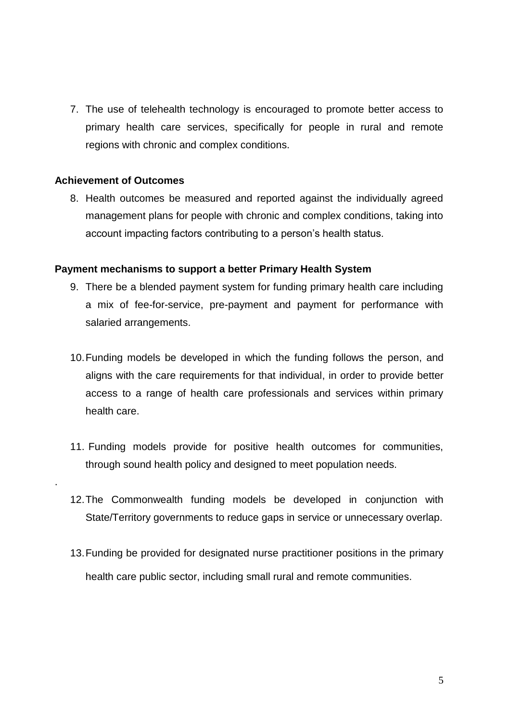7. The use of telehealth technology is encouraged to promote better access to primary health care services, specifically for people in rural and remote regions with chronic and complex conditions.

#### **Achievement of Outcomes**

.

8. Health outcomes be measured and reported against the individually agreed management plans for people with chronic and complex conditions, taking into account impacting factors contributing to a person's health status.

#### **Payment mechanisms to support a better Primary Health System**

- 9. There be a blended payment system for funding primary health care including a mix of fee-for-service, pre-payment and payment for performance with salaried arrangements.
- 10.Funding models be developed in which the funding follows the person, and aligns with the care requirements for that individual, in order to provide better access to a range of health care professionals and services within primary health care.
- 11. Funding models provide for positive health outcomes for communities, through sound health policy and designed to meet population needs.
- 12.The Commonwealth funding models be developed in conjunction with State/Territory governments to reduce gaps in service or unnecessary overlap.
- 13.Funding be provided for designated nurse practitioner positions in the primary health care public sector, including small rural and remote communities.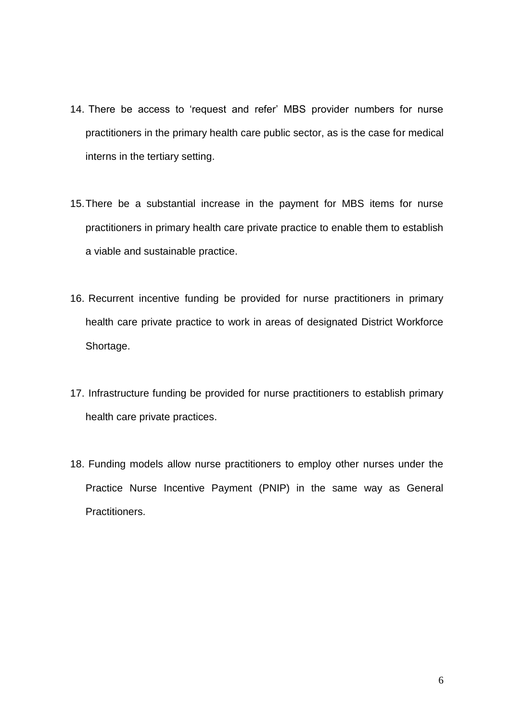- 14. There be access to 'request and refer' MBS provider numbers for nurse practitioners in the primary health care public sector, as is the case for medical interns in the tertiary setting.
- 15.There be a substantial increase in the payment for MBS items for nurse practitioners in primary health care private practice to enable them to establish a viable and sustainable practice.
- 16. Recurrent incentive funding be provided for nurse practitioners in primary health care private practice to work in areas of designated District Workforce Shortage.
- 17. Infrastructure funding be provided for nurse practitioners to establish primary health care private practices.
- 18. Funding models allow nurse practitioners to employ other nurses under the Practice Nurse Incentive Payment (PNIP) in the same way as General Practitioners.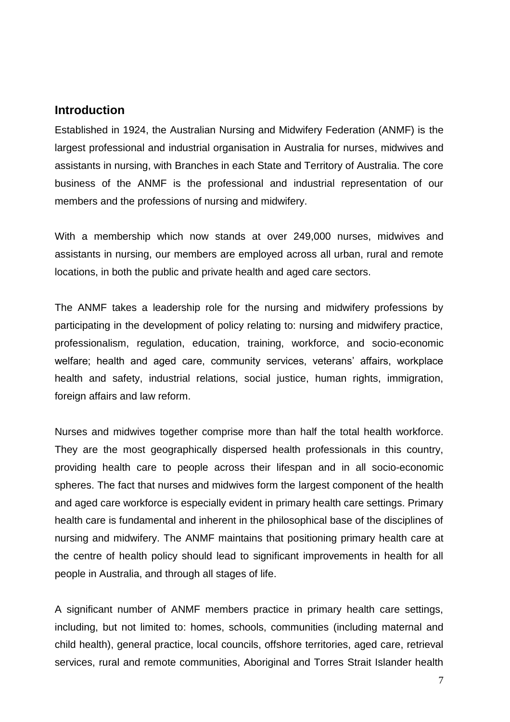### **Introduction**

Established in 1924, the Australian Nursing and Midwifery Federation (ANMF) is the largest professional and industrial organisation in Australia for nurses, midwives and assistants in nursing, with Branches in each State and Territory of Australia. The core business of the ANMF is the professional and industrial representation of our members and the professions of nursing and midwifery.

With a membership which now stands at over 249,000 nurses, midwives and assistants in nursing, our members are employed across all urban, rural and remote locations, in both the public and private health and aged care sectors.

The ANMF takes a leadership role for the nursing and midwifery professions by participating in the development of policy relating to: nursing and midwifery practice, professionalism, regulation, education, training, workforce, and socio-economic welfare; health and aged care, community services, veterans' affairs, workplace health and safety, industrial relations, social justice, human rights, immigration, foreign affairs and law reform.

Nurses and midwives together comprise more than half the total health workforce. They are the most geographically dispersed health professionals in this country, providing health care to people across their lifespan and in all socio-economic spheres. The fact that nurses and midwives form the largest component of the health and aged care workforce is especially evident in primary health care settings. Primary health care is fundamental and inherent in the philosophical base of the disciplines of nursing and midwifery. The ANMF maintains that positioning primary health care at the centre of health policy should lead to significant improvements in health for all people in Australia, and through all stages of life.

A significant number of ANMF members practice in primary health care settings, including, but not limited to: homes, schools, communities (including maternal and child health), general practice, local councils, offshore territories, aged care, retrieval services, rural and remote communities, Aboriginal and Torres Strait Islander health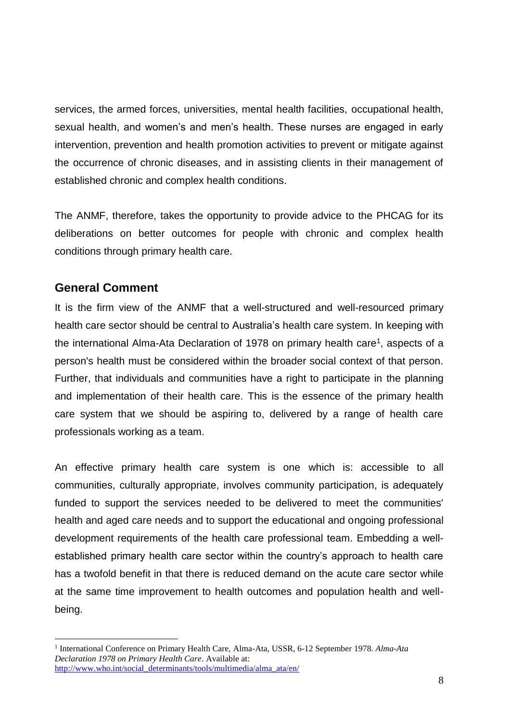services, the armed forces, universities, mental health facilities, occupational health, sexual health, and women's and men's health. These nurses are engaged in early intervention, prevention and health promotion activities to prevent or mitigate against the occurrence of chronic diseases, and in assisting clients in their management of established chronic and complex health conditions.

The ANMF, therefore, takes the opportunity to provide advice to the PHCAG for its deliberations on better outcomes for people with chronic and complex health conditions through primary health care.

### **General Comment**

 $\overline{a}$ 

It is the firm view of the ANMF that a well-structured and well-resourced primary health care sector should be central to Australia's health care system. In keeping with the international Alma-Ata Declaration of 1978 on primary health care<sup>1</sup>, aspects of a person's health must be considered within the broader social context of that person. Further, that individuals and communities have a right to participate in the planning and implementation of their health care. This is the essence of the primary health care system that we should be aspiring to, delivered by a range of health care professionals working as a team.

An effective primary health care system is one which is: accessible to all communities, culturally appropriate, involves community participation, is adequately funded to support the services needed to be delivered to meet the communities' health and aged care needs and to support the educational and ongoing professional development requirements of the health care professional team. Embedding a wellestablished primary health care sector within the country's approach to health care has a twofold benefit in that there is reduced demand on the acute care sector while at the same time improvement to health outcomes and population health and wellbeing.

<sup>1</sup> International Conference on Primary Health Care, Alma-Ata, USSR, 6-12 September 1978. *Alma-Ata Declaration 1978 on Primary Health Care*. Available at: [http://www.who.int/social\\_determinants/tools/multimedia/alma\\_ata/en/](http://www.who.int/social_determinants/tools/multimedia/alma_ata/en/)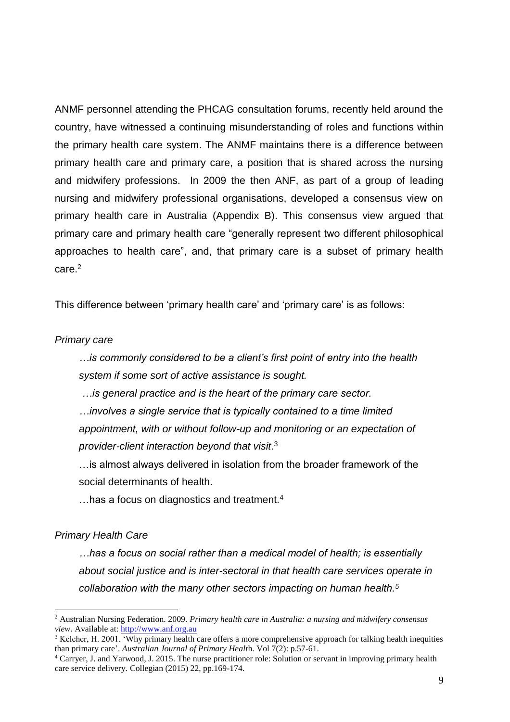ANMF personnel attending the PHCAG consultation forums, recently held around the country, have witnessed a continuing misunderstanding of roles and functions within the primary health care system. The ANMF maintains there is a difference between primary health care and primary care, a position that is shared across the nursing and midwifery professions. In 2009 the then ANF, as part of a group of leading nursing and midwifery professional organisations, developed a consensus view on primary health care in Australia (Appendix B). This consensus view argued that primary care and primary health care "generally represent two different philosophical approaches to health care", and, that primary care is a subset of primary health care.<sup>2</sup>

This difference between 'primary health care' and 'primary care' is as follows:

#### *Primary care*

*…is commonly considered to be a client's first point of entry into the health system if some sort of active assistance is sought.* 

*…is general practice and is the heart of the primary care sector.* 

*…involves a single service that is typically contained to a time limited appointment, with or without follow-up and monitoring or an expectation of provider-client interaction beyond that visit*. 3

…is almost always delivered in isolation from the broader framework of the social determinants of health.

 $\dots$  has a focus on diagnostics and treatment.<sup>4</sup>

#### *Primary Health Care*

 $\overline{a}$ 

*…has a focus on social rather than a medical model of health; is essentially about social justice and is inter-sectoral in that health care services operate in collaboration with the many other sectors impacting on human health.<sup>5</sup>*

<sup>2</sup> Australian Nursing Federation. 2009. *Primary health care in Australia: a nursing and midwifery consensus view*. Available at: [http://www.anf.org.au](http://www.anf.org.au/)

<sup>&</sup>lt;sup>3</sup> Keleher, H. 2001. 'Why primary health care offers a more comprehensive approach for talking health inequities than primary care'. *Australian Journal of Primary Healt*h. Vol 7(2): p.57-61.

<sup>&</sup>lt;sup>4</sup> Carryer, J. and Yarwood, J. 2015. The nurse practitioner role: Solution or servant in improving primary health care service delivery. Collegian (2015) 22, pp.169-174.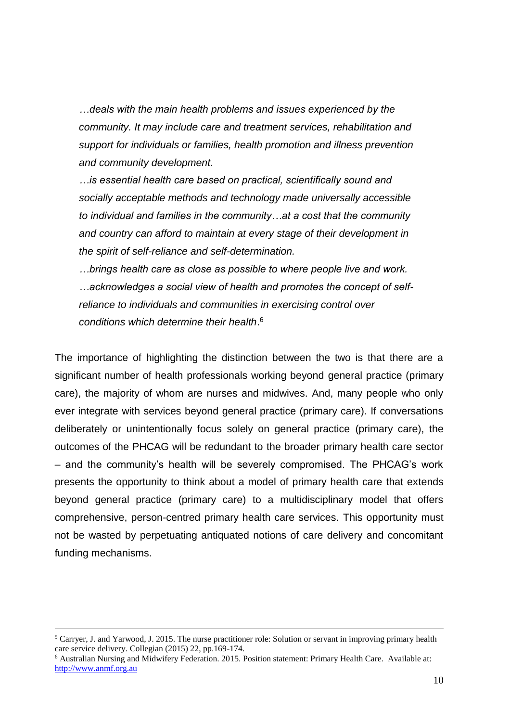*…deals with the main health problems and issues experienced by the community. It may include care and treatment services, rehabilitation and support for individuals or families, health promotion and illness prevention and community development.* 

*…is essential health care based on practical, scientifically sound and socially acceptable methods and technology made universally accessible to individual and families in the community…at a cost that the community and country can afford to maintain at every stage of their development in the spirit of self-reliance and self-determination.* 

*…brings health care as close as possible to where people live and work. …acknowledges a social view of health and promotes the concept of selfreliance to individuals and communities in exercising control over conditions which determine their health*. 6

The importance of highlighting the distinction between the two is that there are a significant number of health professionals working beyond general practice (primary care), the majority of whom are nurses and midwives. And, many people who only ever integrate with services beyond general practice (primary care). If conversations deliberately or unintentionally focus solely on general practice (primary care), the outcomes of the PHCAG will be redundant to the broader primary health care sector – and the community's health will be severely compromised. The PHCAG's work presents the opportunity to think about a model of primary health care that extends beyond general practice (primary care) to a multidisciplinary model that offers comprehensive, person-centred primary health care services. This opportunity must not be wasted by perpetuating antiquated notions of care delivery and concomitant funding mechanisms.

 $\overline{a}$ 

<sup>&</sup>lt;sup>5</sup> Carryer, J. and Yarwood, J. 2015. The nurse practitioner role: Solution or servant in improving primary health care service delivery. Collegian (2015) 22, pp.169-174.

<sup>6</sup> Australian Nursing and Midwifery Federation. 2015. Position statement: Primary Health Care. Available at: [http://www.anmf.org.au](http://www.anmf.org.au/)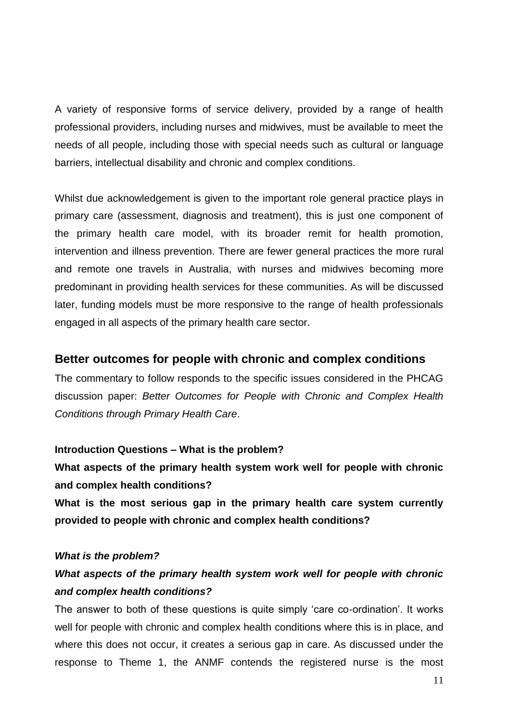A variety of responsive forms of service delivery, provided by a range of health professional providers, including nurses and midwives, must be available to meet the needs of all people, including those with special needs such as cultural or language barriers, intellectual disability and chronic and complex conditions.

Whilst due acknowledgement is given to the important role general practice plays in primary care (assessment, diagnosis and treatment), this is just one component of the primary health care model, with its broader remit for health promotion, intervention and illness prevention. There are fewer general practices the more rural and remote one travels in Australia, with nurses and midwives becoming more predominant in providing health services for these communities. As will be discussed later, funding models must be more responsive to the range of health professionals engaged in all aspects of the primary health care sector.

### **Better outcomes for people with chronic and complex conditions**

The commentary to follow responds to the specific issues considered in the PHCAG discussion paper: *Better Outcomes for People with Chronic and Complex Health Conditions through Primary Health Care*.

#### **Introduction Questions – What is the problem?**

**What aspects of the primary health system work well for people with chronic and complex health conditions?**

**What is the most serious gap in the primary health care system currently provided to people with chronic and complex health conditions?**

#### *What is the problem?*

# *What aspects of the primary health system work well for people with chronic and complex health conditions?*

The answer to both of these questions is quite simply 'care co-ordination'. It works well for people with chronic and complex health conditions where this is in place, and where this does not occur, it creates a serious gap in care. As discussed under the response to Theme 1, the ANMF contends the registered nurse is the most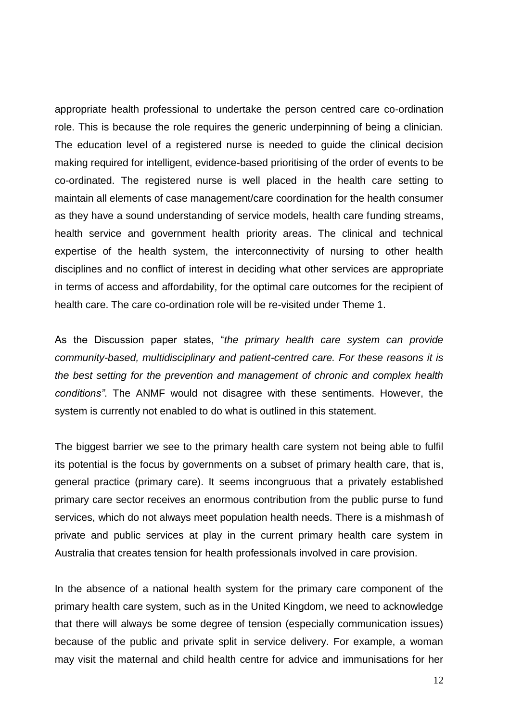appropriate health professional to undertake the person centred care co-ordination role. This is because the role requires the generic underpinning of being a clinician. The education level of a registered nurse is needed to guide the clinical decision making required for intelligent, evidence-based prioritising of the order of events to be co-ordinated. The registered nurse is well placed in the health care setting to maintain all elements of case management/care coordination for the health consumer as they have a sound understanding of service models, health care funding streams, health service and government health priority areas. The clinical and technical expertise of the health system, the interconnectivity of nursing to other health disciplines and no conflict of interest in deciding what other services are appropriate in terms of access and affordability, for the optimal care outcomes for the recipient of health care. The care co-ordination role will be re-visited under Theme 1.

As the Discussion paper states, "*the primary health care system can provide community-based, multidisciplinary and patient-centred care. For these reasons it is the best setting for the prevention and management of chronic and complex health conditions"*. The ANMF would not disagree with these sentiments. However, the system is currently not enabled to do what is outlined in this statement.

The biggest barrier we see to the primary health care system not being able to fulfil its potential is the focus by governments on a subset of primary health care, that is, general practice (primary care). It seems incongruous that a privately established primary care sector receives an enormous contribution from the public purse to fund services, which do not always meet population health needs. There is a mishmash of private and public services at play in the current primary health care system in Australia that creates tension for health professionals involved in care provision.

In the absence of a national health system for the primary care component of the primary health care system, such as in the United Kingdom, we need to acknowledge that there will always be some degree of tension (especially communication issues) because of the public and private split in service delivery. For example, a woman may visit the maternal and child health centre for advice and immunisations for her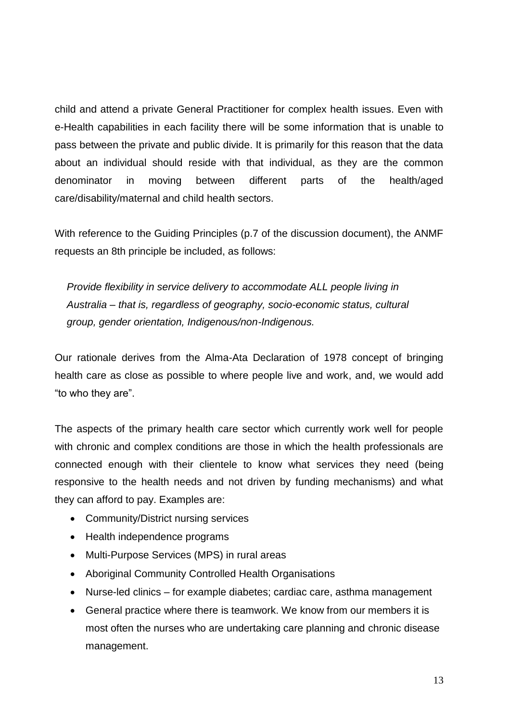child and attend a private General Practitioner for complex health issues. Even with e-Health capabilities in each facility there will be some information that is unable to pass between the private and public divide. It is primarily for this reason that the data about an individual should reside with that individual, as they are the common denominator in moving between different parts of the health/aged care/disability/maternal and child health sectors.

With reference to the Guiding Principles (p.7 of the discussion document), the ANMF requests an 8th principle be included, as follows:

*Provide flexibility in service delivery to accommodate ALL people living in Australia – that is, regardless of geography, socio-economic status, cultural group, gender orientation, Indigenous/non-Indigenous.*

Our rationale derives from the Alma-Ata Declaration of 1978 concept of bringing health care as close as possible to where people live and work, and, we would add "to who they are".

The aspects of the primary health care sector which currently work well for people with chronic and complex conditions are those in which the health professionals are connected enough with their clientele to know what services they need (being responsive to the health needs and not driven by funding mechanisms) and what they can afford to pay. Examples are:

- Community/District nursing services
- Health independence programs
- Multi-Purpose Services (MPS) in rural areas
- Aboriginal Community Controlled Health Organisations
- Nurse-led clinics for example diabetes; cardiac care, asthma management
- General practice where there is teamwork. We know from our members it is most often the nurses who are undertaking care planning and chronic disease management.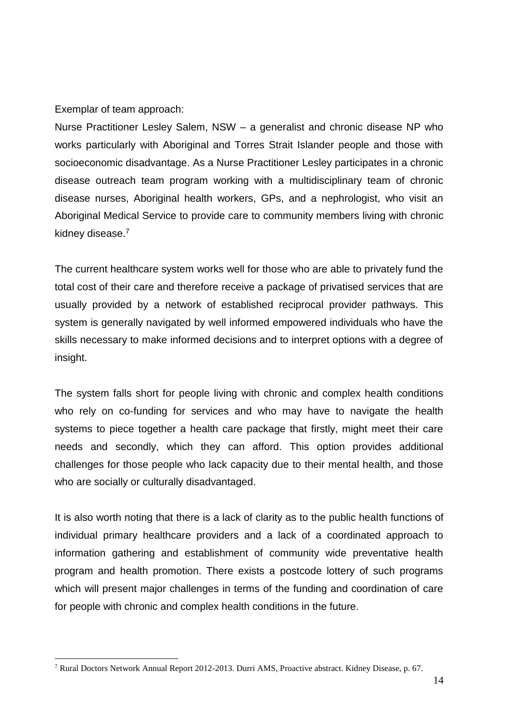Exemplar of team approach:

 $\overline{a}$ 

Nurse Practitioner Lesley Salem, NSW – a generalist and chronic disease NP who works particularly with Aboriginal and Torres Strait Islander people and those with socioeconomic disadvantage. As a Nurse Practitioner Lesley participates in a chronic disease outreach team program working with a multidisciplinary team of chronic disease nurses, Aboriginal health workers, GPs, and a nephrologist, who visit an Aboriginal Medical Service to provide care to community members living with chronic kidney disease.<sup>7</sup>

The current healthcare system works well for those who are able to privately fund the total cost of their care and therefore receive a package of privatised services that are usually provided by a network of established reciprocal provider pathways. This system is generally navigated by well informed empowered individuals who have the skills necessary to make informed decisions and to interpret options with a degree of insight.

The system falls short for people living with chronic and complex health conditions who rely on co-funding for services and who may have to navigate the health systems to piece together a health care package that firstly, might meet their care needs and secondly, which they can afford. This option provides additional challenges for those people who lack capacity due to their mental health, and those who are socially or culturally disadvantaged.

It is also worth noting that there is a lack of clarity as to the public health functions of individual primary healthcare providers and a lack of a coordinated approach to information gathering and establishment of community wide preventative health program and health promotion. There exists a postcode lottery of such programs which will present major challenges in terms of the funding and coordination of care for people with chronic and complex health conditions in the future.

<sup>7</sup> Rural Doctors Network Annual Report 2012-2013. Durri AMS, Proactive abstract. Kidney Disease, p. 67.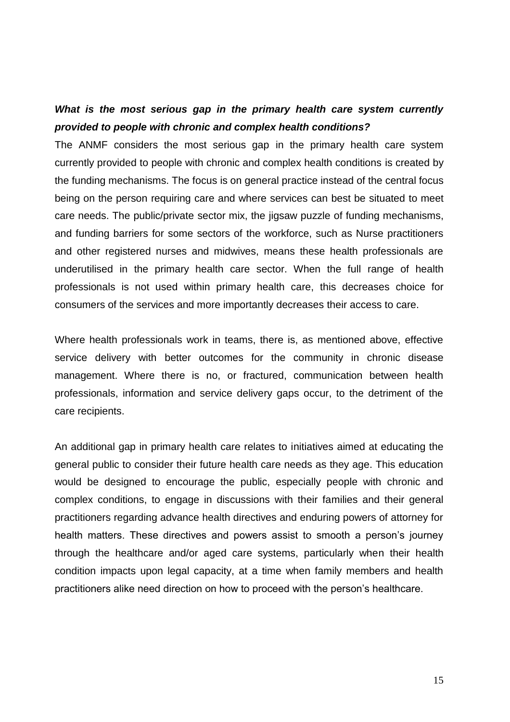## *What is the most serious gap in the primary health care system currently provided to people with chronic and complex health conditions?*

The ANMF considers the most serious gap in the primary health care system currently provided to people with chronic and complex health conditions is created by the funding mechanisms. The focus is on general practice instead of the central focus being on the person requiring care and where services can best be situated to meet care needs. The public/private sector mix, the jigsaw puzzle of funding mechanisms, and funding barriers for some sectors of the workforce, such as Nurse practitioners and other registered nurses and midwives, means these health professionals are underutilised in the primary health care sector. When the full range of health professionals is not used within primary health care, this decreases choice for consumers of the services and more importantly decreases their access to care.

Where health professionals work in teams, there is, as mentioned above, effective service delivery with better outcomes for the community in chronic disease management. Where there is no, or fractured, communication between health professionals, information and service delivery gaps occur, to the detriment of the care recipients.

An additional gap in primary health care relates to initiatives aimed at educating the general public to consider their future health care needs as they age. This education would be designed to encourage the public, especially people with chronic and complex conditions, to engage in discussions with their families and their general practitioners regarding advance health directives and enduring powers of attorney for health matters. These directives and powers assist to smooth a person's journey through the healthcare and/or aged care systems, particularly when their health condition impacts upon legal capacity, at a time when family members and health practitioners alike need direction on how to proceed with the person's healthcare.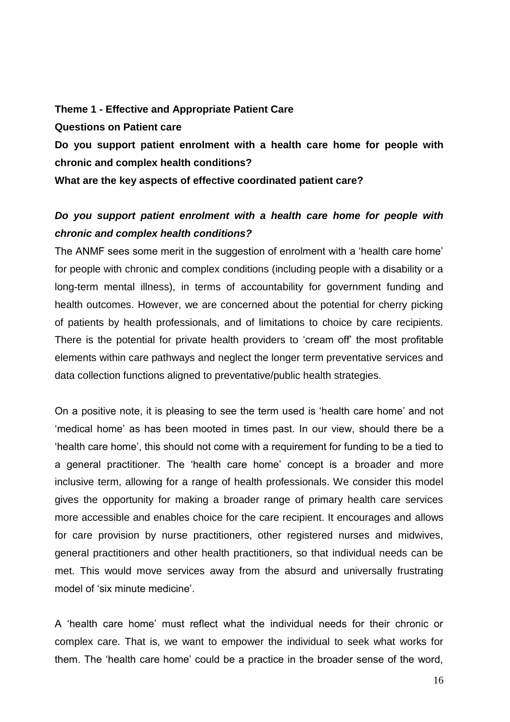**Theme 1 - Effective and Appropriate Patient Care Questions on Patient care**

**Do you support patient enrolment with a health care home for people with chronic and complex health conditions?**

**What are the key aspects of effective coordinated patient care?**

# *Do you support patient enrolment with a health care home for people with chronic and complex health conditions?*

The ANMF sees some merit in the suggestion of enrolment with a 'health care home' for people with chronic and complex conditions (including people with a disability or a long-term mental illness), in terms of accountability for government funding and health outcomes. However, we are concerned about the potential for cherry picking of patients by health professionals, and of limitations to choice by care recipients. There is the potential for private health providers to 'cream off' the most profitable elements within care pathways and neglect the longer term preventative services and data collection functions aligned to preventative/public health strategies.

On a positive note, it is pleasing to see the term used is 'health care home' and not 'medical home' as has been mooted in times past. In our view, should there be a 'health care home', this should not come with a requirement for funding to be a tied to a general practitioner. The 'health care home' concept is a broader and more inclusive term, allowing for a range of health professionals. We consider this model gives the opportunity for making a broader range of primary health care services more accessible and enables choice for the care recipient. It encourages and allows for care provision by nurse practitioners, other registered nurses and midwives, general practitioners and other health practitioners, so that individual needs can be met. This would move services away from the absurd and universally frustrating model of 'six minute medicine'.

A 'health care home' must reflect what the individual needs for their chronic or complex care. That is, we want to empower the individual to seek what works for them. The 'health care home' could be a practice in the broader sense of the word,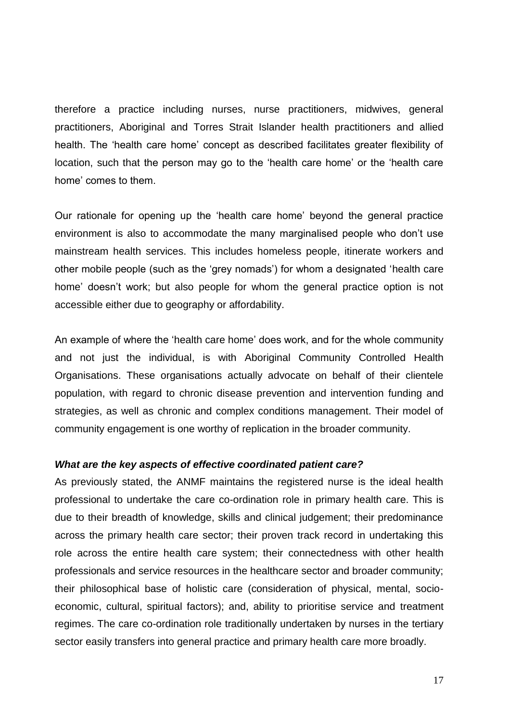therefore a practice including nurses, nurse practitioners, midwives, general practitioners, Aboriginal and Torres Strait Islander health practitioners and allied health. The 'health care home' concept as described facilitates greater flexibility of location, such that the person may go to the 'health care home' or the 'health care home' comes to them.

Our rationale for opening up the 'health care home' beyond the general practice environment is also to accommodate the many marginalised people who don't use mainstream health services. This includes homeless people, itinerate workers and other mobile people (such as the 'grey nomads') for whom a designated 'health care home' doesn't work; but also people for whom the general practice option is not accessible either due to geography or affordability.

An example of where the 'health care home' does work, and for the whole community and not just the individual, is with Aboriginal Community Controlled Health Organisations. These organisations actually advocate on behalf of their clientele population, with regard to chronic disease prevention and intervention funding and strategies, as well as chronic and complex conditions management. Their model of community engagement is one worthy of replication in the broader community.

#### *What are the key aspects of effective coordinated patient care?*

As previously stated, the ANMF maintains the registered nurse is the ideal health professional to undertake the care co-ordination role in primary health care. This is due to their breadth of knowledge, skills and clinical judgement; their predominance across the primary health care sector; their proven track record in undertaking this role across the entire health care system; their connectedness with other health professionals and service resources in the healthcare sector and broader community; their philosophical base of holistic care (consideration of physical, mental, socioeconomic, cultural, spiritual factors); and, ability to prioritise service and treatment regimes. The care co-ordination role traditionally undertaken by nurses in the tertiary sector easily transfers into general practice and primary health care more broadly.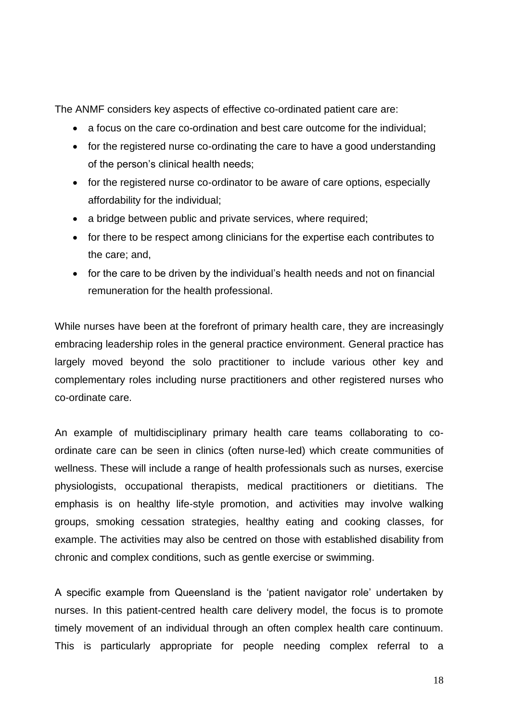The ANMF considers key aspects of effective co-ordinated patient care are:

- a focus on the care co-ordination and best care outcome for the individual;
- for the registered nurse co-ordinating the care to have a good understanding of the person's clinical health needs;
- for the registered nurse co-ordinator to be aware of care options, especially affordability for the individual;
- a bridge between public and private services, where required;
- for there to be respect among clinicians for the expertise each contributes to the care; and,
- for the care to be driven by the individual's health needs and not on financial remuneration for the health professional.

While nurses have been at the forefront of primary health care, they are increasingly embracing leadership roles in the general practice environment. General practice has largely moved beyond the solo practitioner to include various other key and complementary roles including nurse practitioners and other registered nurses who co-ordinate care.

An example of multidisciplinary primary health care teams collaborating to coordinate care can be seen in clinics (often nurse-led) which create communities of wellness. These will include a range of health professionals such as nurses, exercise physiologists, occupational therapists, medical practitioners or dietitians. The emphasis is on healthy life-style promotion, and activities may involve walking groups, smoking cessation strategies, healthy eating and cooking classes, for example. The activities may also be centred on those with established disability from chronic and complex conditions, such as gentle exercise or swimming.

A specific example from Queensland is the 'patient navigator role' undertaken by nurses. In this patient-centred health care delivery model, the focus is to promote timely movement of an individual through an often complex health care continuum. This is particularly appropriate for people needing complex referral to a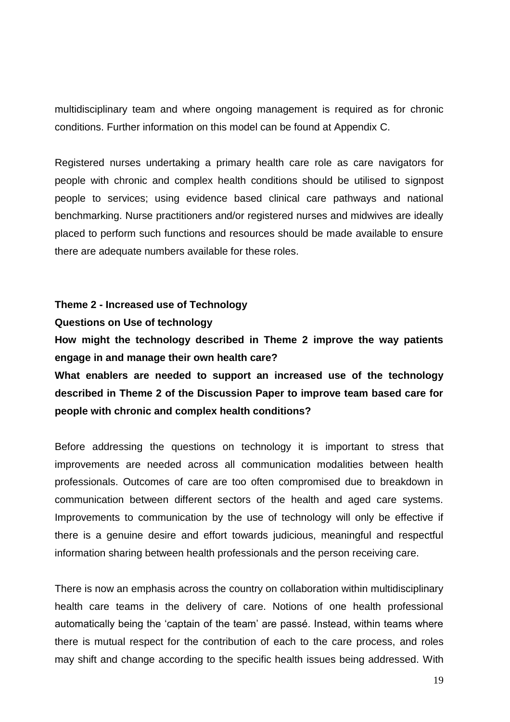multidisciplinary team and where ongoing management is required as for chronic conditions. Further information on this model can be found at Appendix C.

Registered nurses undertaking a primary health care role as care navigators for people with chronic and complex health conditions should be utilised to signpost people to services; using evidence based clinical care pathways and national benchmarking. Nurse practitioners and/or registered nurses and midwives are ideally placed to perform such functions and resources should be made available to ensure there are adequate numbers available for these roles.

### **Theme 2 - Increased use of Technology**

#### **Questions on Use of technology**

**How might the technology described in Theme 2 improve the way patients engage in and manage their own health care?**

**What enablers are needed to support an increased use of the technology described in Theme 2 of the Discussion Paper to improve team based care for people with chronic and complex health conditions?**

Before addressing the questions on technology it is important to stress that improvements are needed across all communication modalities between health professionals. Outcomes of care are too often compromised due to breakdown in communication between different sectors of the health and aged care systems. Improvements to communication by the use of technology will only be effective if there is a genuine desire and effort towards judicious, meaningful and respectful information sharing between health professionals and the person receiving care.

There is now an emphasis across the country on collaboration within multidisciplinary health care teams in the delivery of care. Notions of one health professional automatically being the 'captain of the team' are passé. Instead, within teams where there is mutual respect for the contribution of each to the care process, and roles may shift and change according to the specific health issues being addressed. With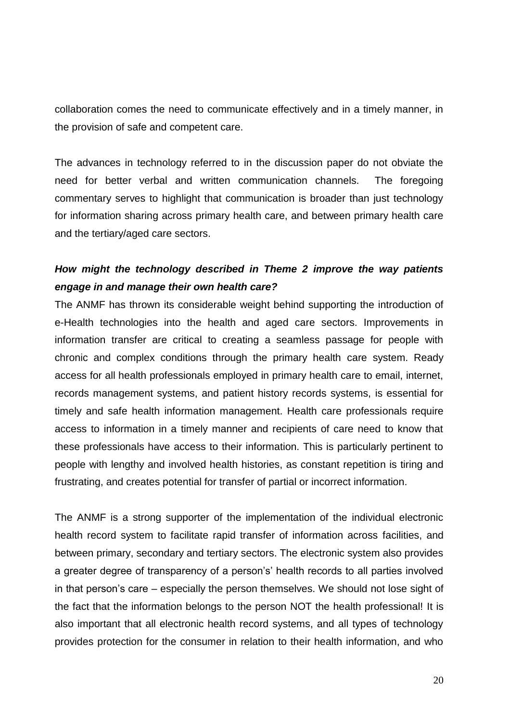collaboration comes the need to communicate effectively and in a timely manner, in the provision of safe and competent care.

The advances in technology referred to in the discussion paper do not obviate the need for better verbal and written communication channels. The foregoing commentary serves to highlight that communication is broader than just technology for information sharing across primary health care, and between primary health care and the tertiary/aged care sectors.

# *How might the technology described in Theme 2 improve the way patients engage in and manage their own health care?*

The ANMF has thrown its considerable weight behind supporting the introduction of e-Health technologies into the health and aged care sectors. Improvements in information transfer are critical to creating a seamless passage for people with chronic and complex conditions through the primary health care system. Ready access for all health professionals employed in primary health care to email, internet, records management systems, and patient history records systems, is essential for timely and safe health information management. Health care professionals require access to information in a timely manner and recipients of care need to know that these professionals have access to their information. This is particularly pertinent to people with lengthy and involved health histories, as constant repetition is tiring and frustrating, and creates potential for transfer of partial or incorrect information.

The ANMF is a strong supporter of the implementation of the individual electronic health record system to facilitate rapid transfer of information across facilities, and between primary, secondary and tertiary sectors. The electronic system also provides a greater degree of transparency of a person's' health records to all parties involved in that person's care – especially the person themselves. We should not lose sight of the fact that the information belongs to the person NOT the health professional! It is also important that all electronic health record systems, and all types of technology provides protection for the consumer in relation to their health information, and who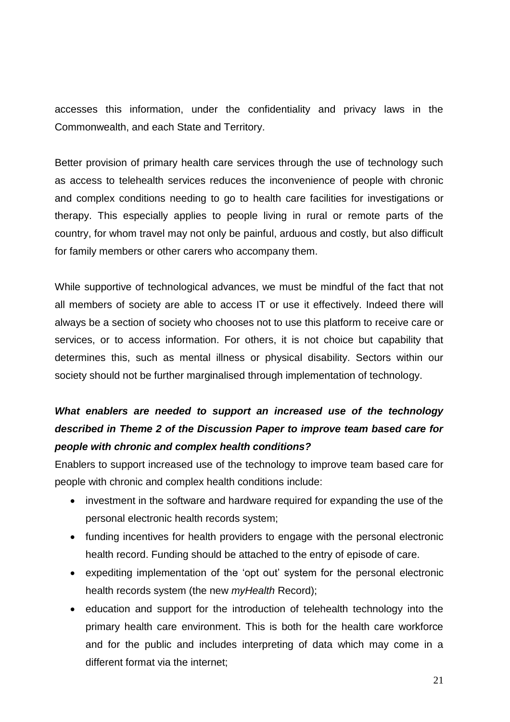accesses this information, under the confidentiality and privacy laws in the Commonwealth, and each State and Territory.

Better provision of primary health care services through the use of technology such as access to telehealth services reduces the inconvenience of people with chronic and complex conditions needing to go to health care facilities for investigations or therapy. This especially applies to people living in rural or remote parts of the country, for whom travel may not only be painful, arduous and costly, but also difficult for family members or other carers who accompany them.

While supportive of technological advances, we must be mindful of the fact that not all members of society are able to access IT or use it effectively. Indeed there will always be a section of society who chooses not to use this platform to receive care or services, or to access information. For others, it is not choice but capability that determines this, such as mental illness or physical disability. Sectors within our society should not be further marginalised through implementation of technology.

# *What enablers are needed to support an increased use of the technology described in Theme 2 of the Discussion Paper to improve team based care for people with chronic and complex health conditions?*

Enablers to support increased use of the technology to improve team based care for people with chronic and complex health conditions include:

- investment in the software and hardware required for expanding the use of the personal electronic health records system;
- funding incentives for health providers to engage with the personal electronic health record. Funding should be attached to the entry of episode of care.
- expediting implementation of the 'opt out' system for the personal electronic health records system (the new *myHealth* Record);
- education and support for the introduction of telehealth technology into the primary health care environment. This is both for the health care workforce and for the public and includes interpreting of data which may come in a different format via the internet;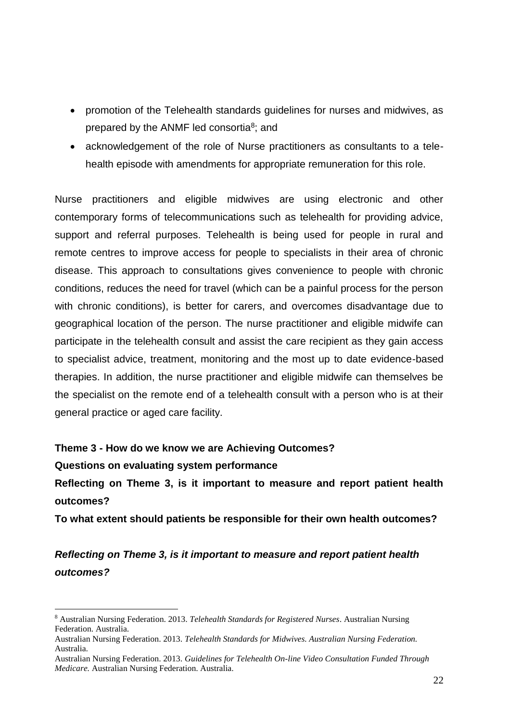- promotion of the Telehealth standards guidelines for nurses and midwives, as prepared by the ANMF led consortia<sup>8</sup>; and
- acknowledgement of the role of Nurse practitioners as consultants to a telehealth episode with amendments for appropriate remuneration for this role.

Nurse practitioners and eligible midwives are using electronic and other contemporary forms of telecommunications such as telehealth for providing advice, support and referral purposes. Telehealth is being used for people in rural and remote centres to improve access for people to specialists in their area of chronic disease. This approach to consultations gives convenience to people with chronic conditions, reduces the need for travel (which can be a painful process for the person with chronic conditions), is better for carers, and overcomes disadvantage due to geographical location of the person. The nurse practitioner and eligible midwife can participate in the telehealth consult and assist the care recipient as they gain access to specialist advice, treatment, monitoring and the most up to date evidence-based therapies. In addition, the nurse practitioner and eligible midwife can themselves be the specialist on the remote end of a telehealth consult with a person who is at their general practice or aged care facility.

**Theme 3 - How do we know we are Achieving Outcomes?**

**Questions on evaluating system performance**

 $\overline{a}$ 

**Reflecting on Theme 3, is it important to measure and report patient health outcomes?**

**To what extent should patients be responsible for their own health outcomes?**

*Reflecting on Theme 3, is it important to measure and report patient health outcomes?*

<sup>8</sup> Australian Nursing Federation. 2013. *Telehealth Standards for Registered Nurses*. Australian Nursing Federation. Australia.

Australian Nursing Federation. 2013. *Telehealth Standards for Midwives. Australian Nursing Federation.* Australia.

Australian Nursing Federation. 2013. *Guidelines for Telehealth On-line Video Consultation Funded Through Medicare.* Australian Nursing Federation. Australia.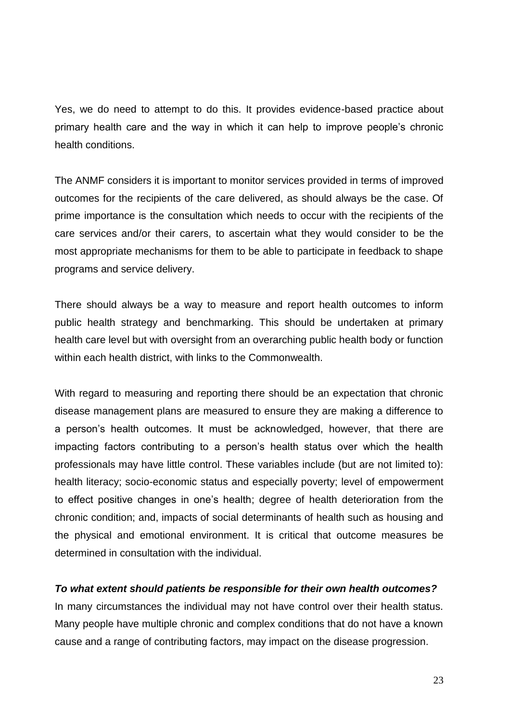Yes, we do need to attempt to do this. It provides evidence-based practice about primary health care and the way in which it can help to improve people's chronic health conditions.

The ANMF considers it is important to monitor services provided in terms of improved outcomes for the recipients of the care delivered, as should always be the case. Of prime importance is the consultation which needs to occur with the recipients of the care services and/or their carers, to ascertain what they would consider to be the most appropriate mechanisms for them to be able to participate in feedback to shape programs and service delivery.

There should always be a way to measure and report health outcomes to inform public health strategy and benchmarking. This should be undertaken at primary health care level but with oversight from an overarching public health body or function within each health district, with links to the Commonwealth.

With regard to measuring and reporting there should be an expectation that chronic disease management plans are measured to ensure they are making a difference to a person's health outcomes. It must be acknowledged, however, that there are impacting factors contributing to a person's health status over which the health professionals may have little control. These variables include (but are not limited to): health literacy; socio-economic status and especially poverty; level of empowerment to effect positive changes in one's health; degree of health deterioration from the chronic condition; and, impacts of social determinants of health such as housing and the physical and emotional environment. It is critical that outcome measures be determined in consultation with the individual.

### *To what extent should patients be responsible for their own health outcomes?*

In many circumstances the individual may not have control over their health status. Many people have multiple chronic and complex conditions that do not have a known cause and a range of contributing factors, may impact on the disease progression.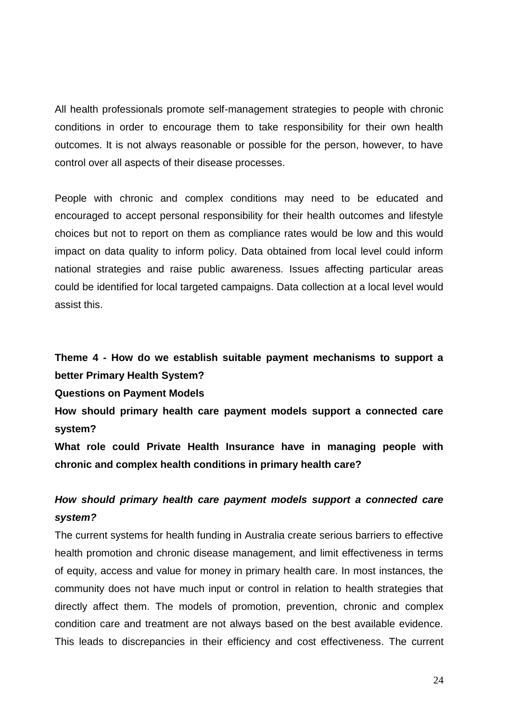All health professionals promote self-management strategies to people with chronic conditions in order to encourage them to take responsibility for their own health outcomes. It is not always reasonable or possible for the person, however, to have control over all aspects of their disease processes.

People with chronic and complex conditions may need to be educated and encouraged to accept personal responsibility for their health outcomes and lifestyle choices but not to report on them as compliance rates would be low and this would impact on data quality to inform policy. Data obtained from local level could inform national strategies and raise public awareness. Issues affecting particular areas could be identified for local targeted campaigns. Data collection at a local level would assist this.

# **Theme 4 - How do we establish suitable payment mechanisms to support a better Primary Health System?**

**Questions on Payment Models**

**How should primary health care payment models support a connected care system?**

**What role could Private Health Insurance have in managing people with chronic and complex health conditions in primary health care?**

# *How should primary health care payment models support a connected care system?*

The current systems for health funding in Australia create serious barriers to effective health promotion and chronic disease management, and limit effectiveness in terms of equity, access and value for money in primary health care. In most instances, the community does not have much input or control in relation to health strategies that directly affect them. The models of promotion, prevention, chronic and complex condition care and treatment are not always based on the best available evidence. This leads to discrepancies in their efficiency and cost effectiveness. The current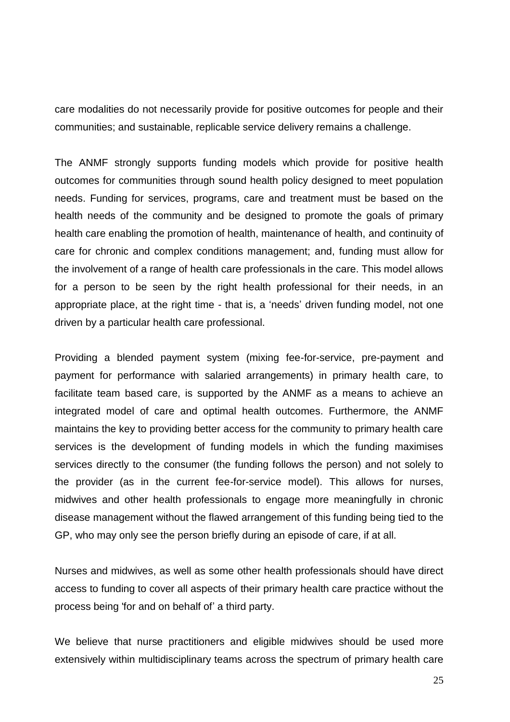care modalities do not necessarily provide for positive outcomes for people and their communities; and sustainable, replicable service delivery remains a challenge.

The ANMF strongly supports funding models which provide for positive health outcomes for communities through sound health policy designed to meet population needs. Funding for services, programs, care and treatment must be based on the health needs of the community and be designed to promote the goals of primary health care enabling the promotion of health, maintenance of health, and continuity of care for chronic and complex conditions management; and, funding must allow for the involvement of a range of health care professionals in the care. This model allows for a person to be seen by the right health professional for their needs, in an appropriate place, at the right time - that is, a 'needs' driven funding model, not one driven by a particular health care professional.

Providing a blended payment system (mixing fee-for-service, pre-payment and payment for performance with salaried arrangements) in primary health care, to facilitate team based care, is supported by the ANMF as a means to achieve an integrated model of care and optimal health outcomes. Furthermore, the ANMF maintains the key to providing better access for the community to primary health care services is the development of funding models in which the funding maximises services directly to the consumer (the funding follows the person) and not solely to the provider (as in the current fee-for-service model). This allows for nurses, midwives and other health professionals to engage more meaningfully in chronic disease management without the flawed arrangement of this funding being tied to the GP, who may only see the person briefly during an episode of care, if at all.

Nurses and midwives, as well as some other health professionals should have direct access to funding to cover all aspects of their primary health care practice without the process being 'for and on behalf of' a third party.

We believe that nurse practitioners and eligible midwives should be used more extensively within multidisciplinary teams across the spectrum of primary health care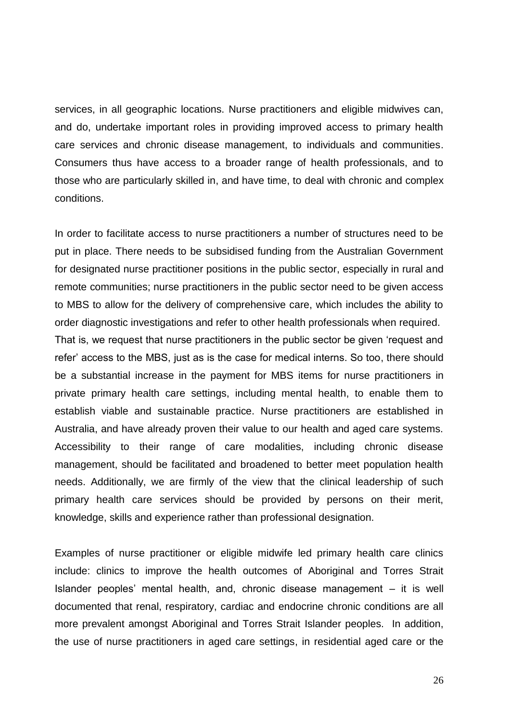services, in all geographic locations. Nurse practitioners and eligible midwives can, and do, undertake important roles in providing improved access to primary health care services and chronic disease management, to individuals and communities. Consumers thus have access to a broader range of health professionals, and to those who are particularly skilled in, and have time, to deal with chronic and complex conditions.

In order to facilitate access to nurse practitioners a number of structures need to be put in place. There needs to be subsidised funding from the Australian Government for designated nurse practitioner positions in the public sector, especially in rural and remote communities; nurse practitioners in the public sector need to be given access to MBS to allow for the delivery of comprehensive care, which includes the ability to order diagnostic investigations and refer to other health professionals when required. That is, we request that nurse practitioners in the public sector be given 'request and refer' access to the MBS, just as is the case for medical interns. So too, there should be a substantial increase in the payment for MBS items for nurse practitioners in private primary health care settings, including mental health, to enable them to establish viable and sustainable practice. Nurse practitioners are established in Australia, and have already proven their value to our health and aged care systems. Accessibility to their range of care modalities, including chronic disease management, should be facilitated and broadened to better meet population health needs. Additionally, we are firmly of the view that the clinical leadership of such primary health care services should be provided by persons on their merit, knowledge, skills and experience rather than professional designation.

Examples of nurse practitioner or eligible midwife led primary health care clinics include: clinics to improve the health outcomes of Aboriginal and Torres Strait Islander peoples' mental health, and, chronic disease management – it is well documented that renal, respiratory, cardiac and endocrine chronic conditions are all more prevalent amongst Aboriginal and Torres Strait Islander peoples. In addition, the use of nurse practitioners in aged care settings, in residential aged care or the

26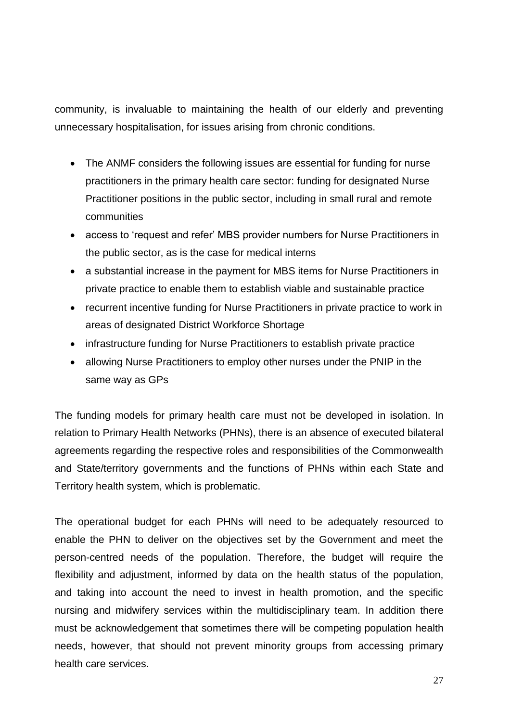community, is invaluable to maintaining the health of our elderly and preventing unnecessary hospitalisation, for issues arising from chronic conditions.

- The ANMF considers the following issues are essential for funding for nurse practitioners in the primary health care sector: funding for designated Nurse Practitioner positions in the public sector, including in small rural and remote communities
- access to 'request and refer' MBS provider numbers for Nurse Practitioners in the public sector, as is the case for medical interns
- a substantial increase in the payment for MBS items for Nurse Practitioners in private practice to enable them to establish viable and sustainable practice
- recurrent incentive funding for Nurse Practitioners in private practice to work in areas of designated District Workforce Shortage
- infrastructure funding for Nurse Practitioners to establish private practice
- allowing Nurse Practitioners to employ other nurses under the PNIP in the same way as GPs

The funding models for primary health care must not be developed in isolation. In relation to Primary Health Networks (PHNs), there is an absence of executed bilateral agreements regarding the respective roles and responsibilities of the Commonwealth and State/territory governments and the functions of PHNs within each State and Territory health system, which is problematic.

The operational budget for each PHNs will need to be adequately resourced to enable the PHN to deliver on the objectives set by the Government and meet the person-centred needs of the population. Therefore, the budget will require the flexibility and adjustment, informed by data on the health status of the population, and taking into account the need to invest in health promotion, and the specific nursing and midwifery services within the multidisciplinary team. In addition there must be acknowledgement that sometimes there will be competing population health needs, however, that should not prevent minority groups from accessing primary health care services.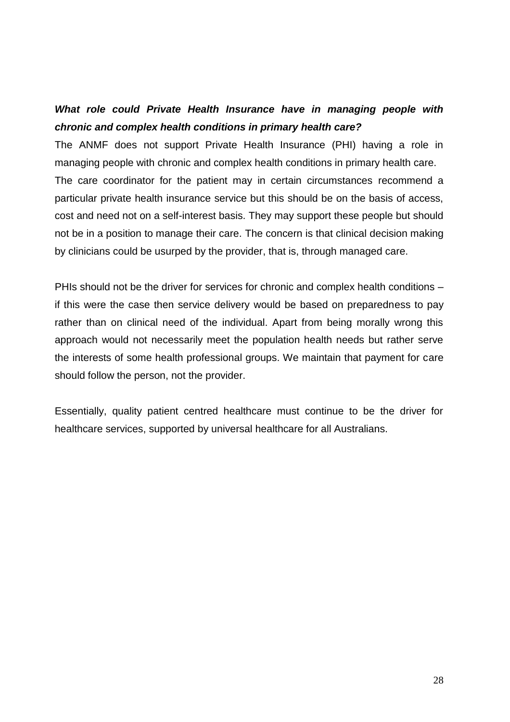# *What role could Private Health Insurance have in managing people with chronic and complex health conditions in primary health care?*

The ANMF does not support Private Health Insurance (PHI) having a role in managing people with chronic and complex health conditions in primary health care. The care coordinator for the patient may in certain circumstances recommend a particular private health insurance service but this should be on the basis of access, cost and need not on a self-interest basis. They may support these people but should not be in a position to manage their care. The concern is that clinical decision making by clinicians could be usurped by the provider, that is, through managed care.

PHIs should not be the driver for services for chronic and complex health conditions – if this were the case then service delivery would be based on preparedness to pay rather than on clinical need of the individual. Apart from being morally wrong this approach would not necessarily meet the population health needs but rather serve the interests of some health professional groups. We maintain that payment for care should follow the person, not the provider.

Essentially, quality patient centred healthcare must continue to be the driver for healthcare services, supported by universal healthcare for all Australians.